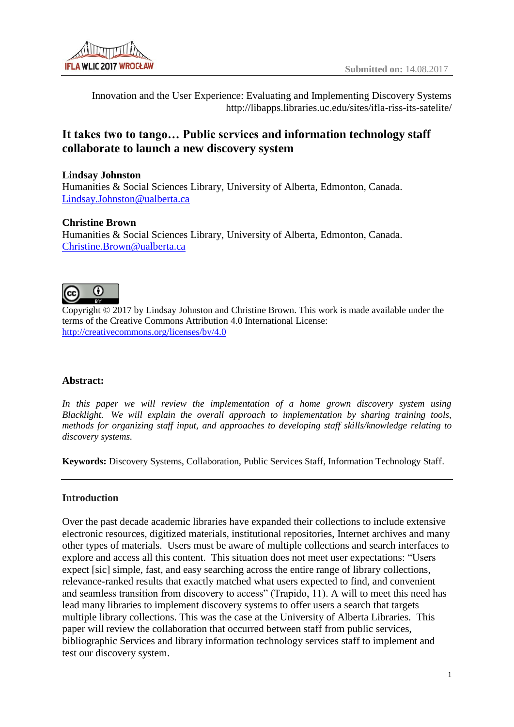

Innovation and the User Experience: Evaluating and Implementing Discovery Systems http://libapps.libraries.uc.edu/sites/ifla-riss-its-satelite/

# **It takes two to tango… Public services and information technology staff collaborate to launch a new discovery system**

## **Lindsay Johnston**

Humanities & Social Sciences Library, University of Alberta, Edmonton, Canada. [Lindsay.Johnston@ualberta.ca](mailto:Lindsay.Johnston@ualberta.ca)

## **Christine Brown**

Humanities & Social Sciences Library, University of Alberta, Edmonton, Canada. [Christine.Brown@ualberta.ca](mailto:Christine.Brown@ualberta.ca)



Copyright © 2017 by Lindsay Johnston and Christine Brown. This work is made available under the terms of the Creative Commons Attribution 4.0 International License: <http://creativecommons.org/licenses/by/4.0>

## **Abstract:**

*In this paper we will review the implementation of a home grown discovery system using Blacklight. We will explain the overall approach to implementation by sharing training tools, methods for organizing staff input, and approaches to developing staff skills/knowledge relating to discovery systems.* 

**Keywords:** Discovery Systems, Collaboration, Public Services Staff, Information Technology Staff.

## **Introduction**

Over the past decade academic libraries have expanded their collections to include extensive electronic resources, digitized materials, institutional repositories, Internet archives and many other types of materials. Users must be aware of multiple collections and search interfaces to explore and access all this content. This situation does not meet user expectations: "Users expect [sic] simple, fast, and easy searching across the entire range of library collections, relevance-ranked results that exactly matched what users expected to find, and convenient and seamless transition from discovery to access" (Trapido, 11). A will to meet this need has lead many libraries to implement discovery systems to offer users a search that targets multiple library collections. This was the case at the University of Alberta Libraries. This paper will review the collaboration that occurred between staff from public services, bibliographic Services and library information technology services staff to implement and test our discovery system.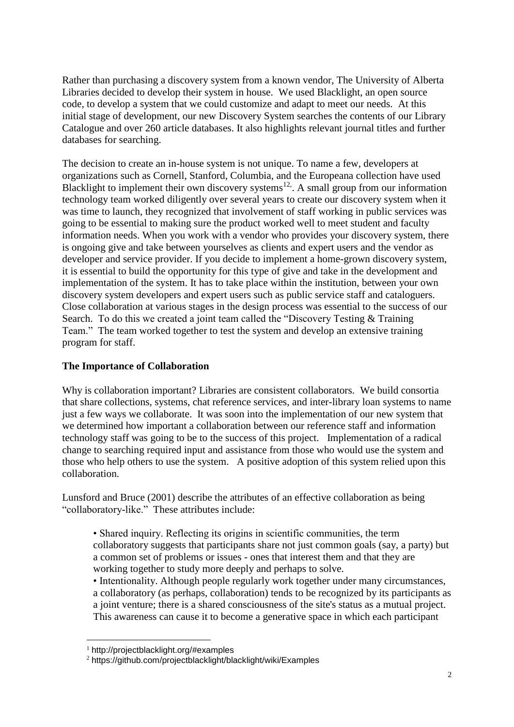Rather than purchasing a discovery system from a known vendor, The University of Alberta Libraries decided to develop their system in house. We used Blacklight, an open source code, to develop a system that we could customize and adapt to meet our needs. At this initial stage of development, our new Discovery System searches the contents of our Library Catalogue and over 260 article databases. It also highlights relevant journal titles and further databases for searching.

The decision to create an in-house system is not unique. To name a few, developers at organizations such as Cornell, Stanford, Columbia, and the Europeana collection have used Blacklight to implement their own discovery systems<sup>12</sup>. A small group from our information technology team worked diligently over several years to create our discovery system when it was time to launch, they recognized that involvement of staff working in public services was going to be essential to making sure the product worked well to meet student and faculty information needs. When you work with a vendor who provides your discovery system, there is ongoing give and take between yourselves as clients and expert users and the vendor as developer and service provider. If you decide to implement a home-grown discovery system, it is essential to build the opportunity for this type of give and take in the development and implementation of the system. It has to take place within the institution, between your own discovery system developers and expert users such as public service staff and cataloguers. Close collaboration at various stages in the design process was essential to the success of our Search. To do this we created a joint team called the "Discovery Testing & Training Team." The team worked together to test the system and develop an extensive training program for staff.

## **The Importance of Collaboration**

Why is collaboration important? Libraries are consistent collaborators. We build consortia that share collections, systems, chat reference services, and inter-library loan systems to name just a few ways we collaborate. It was soon into the implementation of our new system that we determined how important a collaboration between our reference staff and information technology staff was going to be to the success of this project. Implementation of a radical change to searching required input and assistance from those who would use the system and those who help others to use the system. A positive adoption of this system relied upon this collaboration.

Lunsford and Bruce (2001) describe the attributes of an effective collaboration as being "collaboratory-like." These attributes include:

• Shared inquiry. Reflecting its origins in scientific communities, the term collaboratory suggests that participants share not just common goals (say, a party) but a common set of problems or issues - ones that interest them and that they are working together to study more deeply and perhaps to solve.

• Intentionality. Although people regularly work together under many circumstances, a collaboratory (as perhaps, collaboration) tends to be recognized by its participants as a joint venture; there is a shared consciousness of the site's status as a mutual project. This awareness can cause it to become a generative space in which each participant

 $\overline{a}$ 

<sup>1</sup> http://projectblacklight.org/#examples

<sup>2</sup> https://github.com/projectblacklight/blacklight/wiki/Examples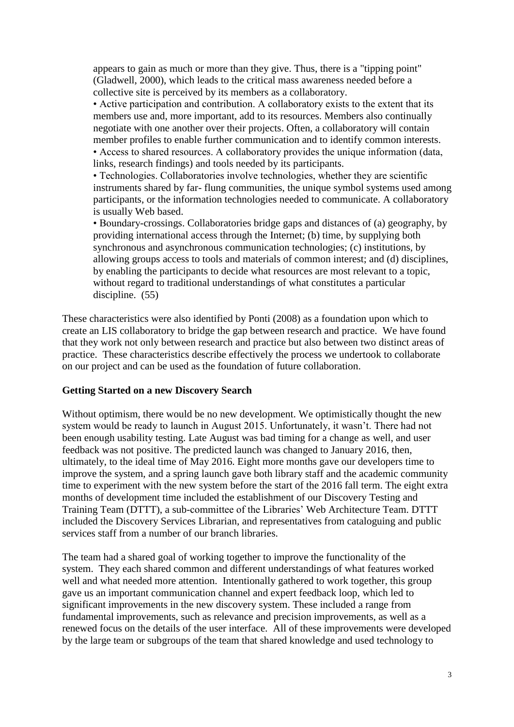appears to gain as much or more than they give. Thus, there is a "tipping point" (Gladwell, 2000), which leads to the critical mass awareness needed before a collective site is perceived by its members as a collaboratory.

• Active participation and contribution. A collaboratory exists to the extent that its members use and, more important, add to its resources. Members also continually negotiate with one another over their projects. Often, a collaboratory will contain member profiles to enable further communication and to identify common interests. • Access to shared resources. A collaboratory provides the unique information (data, links, research findings) and tools needed by its participants.

• Technologies. Collaboratories involve technologies, whether they are scientific instruments shared by far- flung communities, the unique symbol systems used among participants, or the information technologies needed to communicate. A collaboratory is usually Web based.

• Boundary-crossings. Collaboratories bridge gaps and distances of (a) geography, by providing international access through the Internet; (b) time, by supplying both synchronous and asynchronous communication technologies; (c) institutions, by allowing groups access to tools and materials of common interest; and (d) disciplines, by enabling the participants to decide what resources are most relevant to a topic, without regard to traditional understandings of what constitutes a particular discipline. (55)

These characteristics were also identified by Ponti (2008) as a foundation upon which to create an LIS collaboratory to bridge the gap between research and practice. We have found that they work not only between research and practice but also between two distinct areas of practice. These characteristics describe effectively the process we undertook to collaborate on our project and can be used as the foundation of future collaboration.

#### **Getting Started on a new Discovery Search**

Without optimism, there would be no new development. We optimistically thought the new system would be ready to launch in August 2015. Unfortunately, it wasn't. There had not been enough usability testing. Late August was bad timing for a change as well, and user feedback was not positive. The predicted launch was changed to January 2016, then, ultimately, to the ideal time of May 2016. Eight more months gave our developers time to improve the system, and a spring launch gave both library staff and the academic community time to experiment with the new system before the start of the 2016 fall term. The eight extra months of development time included the establishment of our Discovery Testing and Training Team (DTTT), a sub-committee of the Libraries' Web Architecture Team. DTTT included the Discovery Services Librarian, and representatives from cataloguing and public services staff from a number of our branch libraries.

The team had a shared goal of working together to improve the functionality of the system. They each shared common and different understandings of what features worked well and what needed more attention. Intentionally gathered to work together, this group gave us an important communication channel and expert feedback loop, which led to significant improvements in the new discovery system. These included a range from fundamental improvements, such as relevance and precision improvements, as well as a renewed focus on the details of the user interface. All of these improvements were developed by the large team or subgroups of the team that shared knowledge and used technology to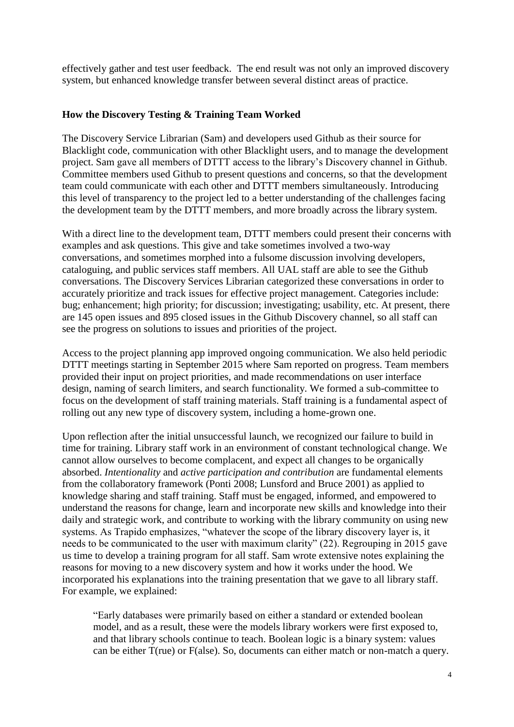effectively gather and test user feedback. The end result was not only an improved discovery system, but enhanced knowledge transfer between several distinct areas of practice.

### **How the Discovery Testing & Training Team Worked**

The Discovery Service Librarian (Sam) and developers used Github as their source for Blacklight code, communication with other Blacklight users, and to manage the development project. Sam gave all members of DTTT access to the library's Discovery channel in Github. Committee members used Github to present questions and concerns, so that the development team could communicate with each other and DTTT members simultaneously. Introducing this level of transparency to the project led to a better understanding of the challenges facing the development team by the DTTT members, and more broadly across the library system.

With a direct line to the development team, DTTT members could present their concerns with examples and ask questions. This give and take sometimes involved a two-way conversations, and sometimes morphed into a fulsome discussion involving developers, cataloguing, and public services staff members. All UAL staff are able to see the Github conversations. The Discovery Services Librarian categorized these conversations in order to accurately prioritize and track issues for effective project management. Categories include: bug; enhancement; high priority; for discussion; investigating; usability, etc. At present, there are 145 open issues and 895 closed issues in the Github Discovery channel, so all staff can see the progress on solutions to issues and priorities of the project.

Access to the project planning app improved ongoing communication. We also held periodic DTTT meetings starting in September 2015 where Sam reported on progress. Team members provided their input on project priorities, and made recommendations on user interface design, naming of search limiters, and search functionality. We formed a sub-committee to focus on the development of staff training materials. Staff training is a fundamental aspect of rolling out any new type of discovery system, including a home-grown one.

Upon reflection after the initial unsuccessful launch, we recognized our failure to build in time for training. Library staff work in an environment of constant technological change. We cannot allow ourselves to become complacent, and expect all changes to be organically absorbed. *Intentionality* and *active participation and contribution* are fundamental elements from the collaboratory framework (Ponti 2008; Lunsford and Bruce 2001) as applied to knowledge sharing and staff training. Staff must be engaged, informed, and empowered to understand the reasons for change, learn and incorporate new skills and knowledge into their daily and strategic work, and contribute to working with the library community on using new systems. As Trapido emphasizes, "whatever the scope of the library discovery layer is, it needs to be communicated to the user with maximum clarity" (22). Regrouping in 2015 gave us time to develop a training program for all staff. Sam wrote extensive notes explaining the reasons for moving to a new discovery system and how it works under the hood. We incorporated his explanations into the training presentation that we gave to all library staff. For example, we explained:

"Early databases were primarily based on either a standard or extended boolean model, and as a result, these were the models library workers were first exposed to, and that library schools continue to teach. Boolean logic is a binary system: values can be either T(rue) or F(alse). So, documents can either match or non-match a query.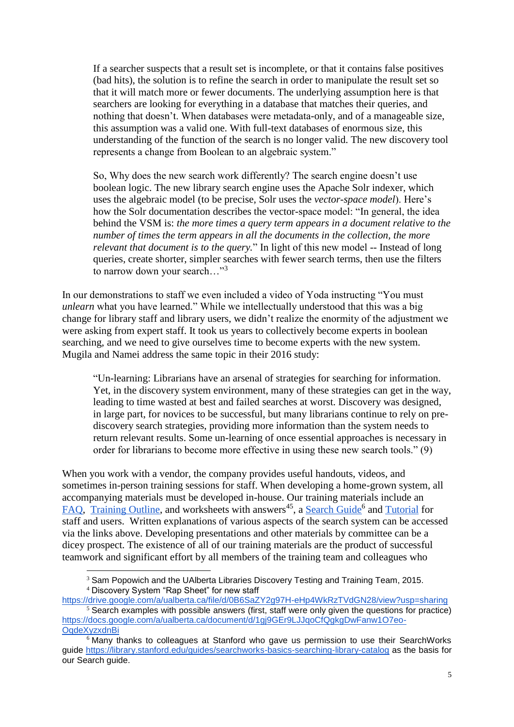If a searcher suspects that a result set is incomplete, or that it contains false positives (bad hits), the solution is to refine the search in order to manipulate the result set so that it will match more or fewer documents. The underlying assumption here is that searchers are looking for everything in a database that matches their queries, and nothing that doesn't. When databases were metadata-only, and of a manageable size, this assumption was a valid one. With full-text databases of enormous size, this understanding of the function of the search is no longer valid. The new discovery tool represents a change from Boolean to an algebraic system."

So, Why does the new search work differently? The search engine doesn't use boolean logic. The new library search engine uses the Apache Solr indexer, which uses the algebraic model (to be precise, Solr uses the *vector-space model*). Here's how the Solr documentation describes the vector-space model: "In general, the idea behind the VSM is: *the more times a query term appears in a document relative to the number of times the term appears in all the documents in the collection, the more relevant that document is to the query.*" In light of this new model -- Instead of long queries, create shorter, simpler searches with fewer search terms, then use the filters to narrow down your search..."<sup>3</sup>

In our demonstrations to staff we even included a video of Yoda instructing "You must *unlearn* what you have learned." While we intellectually understood that this was a big change for library staff and library users, we didn't realize the enormity of the adjustment we were asking from expert staff. It took us years to collectively become experts in boolean searching, and we need to give ourselves time to become experts with the new system. Mugila and Namei address the same topic in their 2016 study:

"Un-learning: Librarians have an arsenal of strategies for searching for information. Yet, in the discovery system environment, many of these strategies can get in the way, leading to time wasted at best and failed searches at worst. Discovery was designed, in large part, for novices to be successful, but many librarians continue to rely on prediscovery search strategies, providing more information than the system needs to return relevant results. Some un-learning of once essential approaches is necessary in order for librarians to become more effective in using these new search tools." (9)

When you work with a vendor, the company provides useful handouts, videos, and sometimes in-person training sessions for staff. When developing a home-grown system, all accompanying materials must be developed in-house. Our training materials include an [FAQ,](https://docs.google.com/a/ualberta.ca/document/d/1PB_3VkHKAGyRVhF8mcuobJrz0WCsDdQh0f8sq0SNCF8/edit?usp=sharing) [Training Outline,](https://docs.google.com/a/ualberta.ca/document/d/1PWm00wtmaDN5nwmX4cLMiM7bgQsn00qBWyszwSC25oE/edit?usp=sharing) and worksheets with answers<sup>45</sup>, a [Search Guide](http://guides.library.ualberta.ca/search)<sup>6</sup> and [Tutorial](https://www.library.ualberta.ca/tutorials/search) for staff and users. Written explanations of various aspects of the search system can be accessed via the links above. Developing presentations and other materials by committee can be a dicey prospect. The existence of all of our training materials are the product of successful teamwork and significant effort by all members of the training team and colleagues who

<sup>4</sup> Discovery System "Rap Sheet" for new staff

 $\overline{a}$ <sup>3</sup> Sam Popowich and the UAlberta Libraries Discovery Testing and Training Team, 2015.

<https://drive.google.com/a/ualberta.ca/file/d/0B6SaZY2g97H-eHp4WkRzTVdGN28/view?usp=sharing>  $\frac{5}{3}$  Search examples with possible answers (first, staff were only given the questions for practice) [https://docs.google.com/a/ualberta.ca/document/d/1gj9GEr9LJJqoCfQgkgDwFanw1O7eo-](https://docs.google.com/a/ualberta.ca/document/d/1gj9GEr9LJJqoCfQgkgDwFanw1O7eo-OqdeXyzxdnBi0/edit?usp=sharing)**OgdeXvzxdnBi** 

 $6$  Many thanks to colleagues at Stanford who gave us permission to use their SearchWorks guide<https://library.stanford.edu/guides/searchworks-basics-searching-library-catalog> as the basis for our Search guide.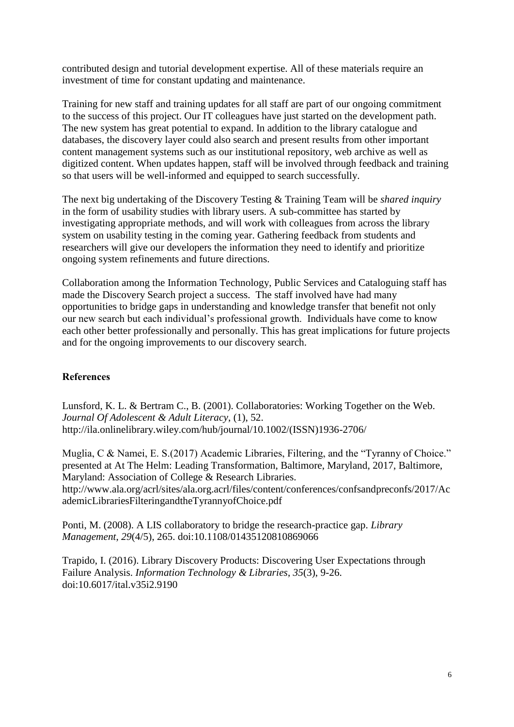contributed design and tutorial development expertise. All of these materials require an investment of time for constant updating and maintenance.

Training for new staff and training updates for all staff are part of our ongoing commitment to the success of this project. Our IT colleagues have just started on the development path. The new system has great potential to expand. In addition to the library catalogue and databases, the discovery layer could also search and present results from other important content management systems such as our institutional repository, web archive as well as digitized content. When updates happen, staff will be involved through feedback and training so that users will be well-informed and equipped to search successfully.

The next big undertaking of the Discovery Testing & Training Team will be *shared inquiry* in the form of usability studies with library users. A sub-committee has started by investigating appropriate methods, and will work with colleagues from across the library system on usability testing in the coming year. Gathering feedback from students and researchers will give our developers the information they need to identify and prioritize ongoing system refinements and future directions.

Collaboration among the Information Technology, Public Services and Cataloguing staff has made the Discovery Search project a success. The staff involved have had many opportunities to bridge gaps in understanding and knowledge transfer that benefit not only our new search but each individual's professional growth. Individuals have come to know each other better professionally and personally. This has great implications for future projects and for the ongoing improvements to our discovery search.

## **References**

Lunsford, K. L. & Bertram C., B. (2001). Collaboratories: Working Together on the Web. *Journal Of Adolescent & Adult Literacy*, (1), 52. http://ila.onlinelibrary.wiley.com/hub/journal/10.1002/(ISSN)1936-2706/

Muglia, C & Namei, E. S.(2017) Academic Libraries, Filtering, and the "Tyranny of Choice." presented at At The Helm: Leading Transformation, Baltimore, Maryland, 2017, Baltimore, Maryland: Association of College & Research Libraries. http://www.ala.org/acrl/sites/ala.org.acrl/files/content/conferences/confsandpreconfs/2017/Ac ademicLibrariesFilteringandtheTyrannyofChoice.pdf

Ponti, M. (2008). A LIS collaboratory to bridge the research-practice gap. *Library Management*, *29*(4/5), 265. doi:10.1108/01435120810869066

Trapido, I. (2016). Library Discovery Products: Discovering User Expectations through Failure Analysis. *Information Technology & Libraries*, *35*(3), 9-26. doi:10.6017/ital.v35i2.9190